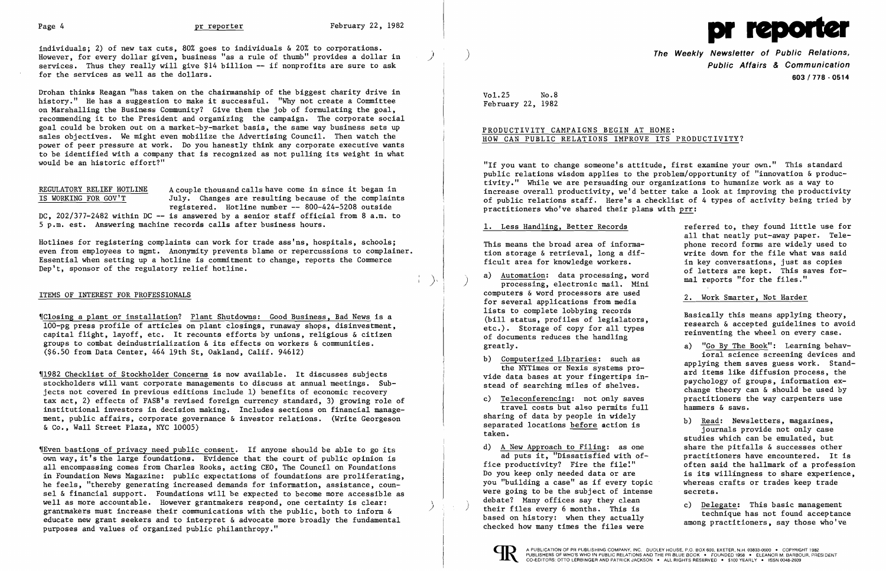$\overline{a}$ 

)<br>)



individuals; 2) of new tax cuts, 80% goes to individuals & 20% to corporations. However, for every dollar given, business "as a rule of thumb" provides a dollar in  $\qquad$ services. Thus they really will give \$14 billion -- if nonprofits are sure to ask for the services as well as the dollars.

Drohan thinks Reagan "has taken on the chairmanship of the biggest charity drive in history." He has a suggestion to make it successful. "Why not create a Committee on Marshalling the Business Community? Give them the job of formulating the goal, recommending it to the President and organizing the campaign. The corporate social goal could be broken out on a market-by-market basis, the same way business sets up sales objectives. We might even mobilize the Advertising Council. Then watch the power of peer pressure at work. Do you hanestly think any corporate executive wants to be identified with a company that is recognized as not pulling its weight in what would be an historic effort?"

REGULATORY RELIEF HOTLINE A couple thousand calls have come in since it began in<br>IS WORKING FOR GOV'T July. Changes are resulting because of the complaint July. Changes are resulting because of the complaints registered. Hotline number -- 800-424-5208 outside DC, 202/377-2482 within DC -- is answered by a senior staff official from 8 a.m. to 5 p.m. est. Answering machine records calls after business hours.

"Closing a plant or installation? Plant Shutdowns: Good Business, Bad News is a 100-pg press profile of articles on plant closings, runaway shops, disinvestment, capital flight, layoff, etc. It recounts efforts by unions, religious & citizen groups to combat deindustrialization & its effects on workers & communities. (\$6.50 from Data Center, 464 19th St, Oakland, Calif. 94612)

Hotlines for registering complaints can work for trade ass'ns, hospitals, schools; even from employees to mgmt. Anonymity prevents blame or repercussions to complainer. Essential when setting up a hotline is commitment to change, reports the Commerce Dep't, sponsor of the regulatory relief hotline.

 $$E$ ven bastions of privacy need public consent. If anyone should be able to go its own way, it's the large foundations. Evidence that the court of public opinion is all encompassing comes from Charles Rooks, acting CEO, The Council on Foundations in Foundation News Magazine: public expectations of foundations are proliferating, he feels, "thereby generating increased demands for information, assistance, counsel & financial support. Foundations will be expected to become more accessible as well as more accountable. However grantmakers respond, one certainty is clear: ) grantmakers must increase their communications with the public, both to inform & educate new grant seekers and to interpret & advocate more broadly the fundamental purposes and values of organized public philanthropy."

## ITEMS OF INTEREST FOR PROFESSIONALS

"If you want to change someone's attitude, first examine your own." This standard public relations wisdom applies to the problem/opportunity of "innovation & productivity." While we are persuading our organizations to humanize work as a way to increase overall productivity, we'd better take a look at improving the productivity of public relations staff. Here's a checklist of 4 types of activity being tried by practitioners who've shared their plans with prr:

tion storage & retrieval, long a dif-<br>
ficult area for knowledge workers.<br>
in key conversations, just as copies

a) Automation: data processing, word of letters are kept. This s<br>processing, electronic mail. Mini mal reports "for the files." computers & word processors are used<br>
for several applications from media<br>
1ists to complete lobbying records The complete toppying records<br>
(bill status, profiles of legislators,<br>
etc.). Storage of copy for all types<br>
of documents reduces the handling<br>
the wheel on every case.

 $travel$  costs but also permits  $full$ sharing of data by people in widely<br>separated locations <u>before</u> action is b) <u>Read</u>: Newsletters, magazines,<br>taken. studies which can be emulated, but

you "building a case" as if every topic whereas ownere whereas crafts. were going to be the subject of intense<br>debate? Many offices say they clean debate? Many offices say they clean<br>
their files every 6 months. This is<br>
based on history: when they actually<br>
checked how many times the files were<br>
decked how many times the files were<br>
decked how many times the files w



'11982 Checklist of Stockholder Concerns is now available. It discusses subjects stockholders will want corporate managements to discuss at annual meetings. Subjects not covered in previous editions include 1) benefits of economic recovery tax act, 2) effects of FASB's revised foreign currency standard, 3) growing role of institutional investors in decision making. Includes sections on financial management, public affairs, corporate governance & investor relations. (Write Georgeson & Co., Wall Street Plaza, NYC 10005)

) The Weekly Newsletter of Public Relations, Public Affairs & Communication 603/778·0514

1. Less Handling, Better Records . The referred to, they found little use for all that neatly put-away paper. Tele-This means the broad area of informa-<br>tion storage  $\&$  retrieval, long a dif-<br>write down for the file what was said in key conversations, just as copies<br>of letters are kept. This saves for-

greatly.<br>
a) "Go By The Book": Learning behav-<br>
ioral science screening devices and b) Computerized Libraries: such as<br>the NYTimes or Nexis systems pro-<br>vide data bases at your fingertips in-<br>stead of searching miles of shelves.<br>tead of searching miles of shelves.<br>tead of searching miles of shelves.<br>thang c) Teleconferencing: not only saves practitioners the way carpenters use<br>travel costs but also permits full hammers & saws.

d)  $\overline{A}$  New Approach to Filing: as one share the pitfalls & successes other ad puts it, "Dissatisfied with of-<br>practitioners have encountered. It is ad puts it, "Dissatisfied with of-<br>fice productivity? Fire the file!" often said the hallmark of a profession fice productivity? Fire the file!" often said the hallmark of a profession<br>Do you keep only needed data or are said its willingness to share experience. is its willingness to share experience,<br>whereas crafts or trades keep trade

Vol.25 No.8 February 22, 1982

## PRODUCTIVITY CAMPAIGNS BEGIN AT HOME: HOW CAN PUBLIC RELATIONS IMPROVE ITS PRODUCTIVITY?